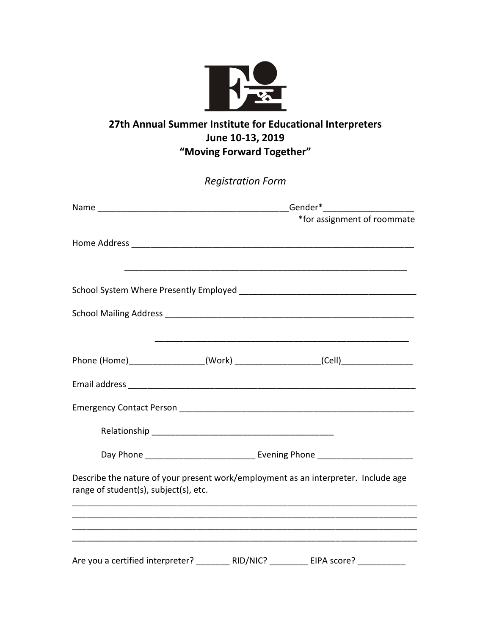

## **27th Annual Summer Institute for Educational Interpreters June 10-13, 2019 "Moving Forward Together"**

| <b>Registration Form</b>              |  |                                                                                    |
|---------------------------------------|--|------------------------------------------------------------------------------------|
|                                       |  |                                                                                    |
|                                       |  | *for assignment of roommate                                                        |
|                                       |  |                                                                                    |
|                                       |  |                                                                                    |
|                                       |  |                                                                                    |
|                                       |  |                                                                                    |
|                                       |  |                                                                                    |
|                                       |  | Phone (Home)___________________(Work) ____________________(Cell)________________   |
|                                       |  |                                                                                    |
|                                       |  |                                                                                    |
|                                       |  |                                                                                    |
|                                       |  | Day Phone __________________________________ Evening Phone _____________________   |
| range of student(s), subject(s), etc. |  | Describe the nature of your present work/employment as an interpreter. Include age |
|                                       |  |                                                                                    |
|                                       |  |                                                                                    |
|                                       |  |                                                                                    |